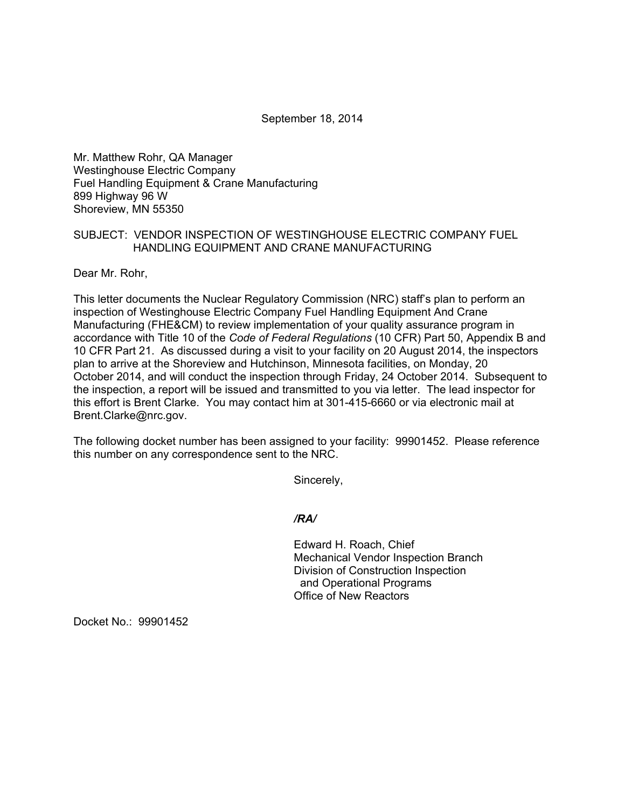September 18, 2014

Mr. Matthew Rohr, QA Manager Westinghouse Electric Company Fuel Handling Equipment & Crane Manufacturing 899 Highway 96 W Shoreview, MN 55350

## SUBJECT: VENDOR INSPECTION OF WESTINGHOUSE ELECTRIC COMPANY FUEL HANDLING EQUIPMENT AND CRANE MANUFACTURING

Dear Mr. Rohr,

This letter documents the Nuclear Regulatory Commission (NRC) staff's plan to perform an inspection of Westinghouse Electric Company Fuel Handling Equipment And Crane Manufacturing (FHE&CM) to review implementation of your quality assurance program in accordance with Title 10 of the *Code of Federal Regulations* (10 CFR) Part 50, Appendix B and 10 CFR Part 21. As discussed during a visit to your facility on 20 August 2014, the inspectors plan to arrive at the Shoreview and Hutchinson, Minnesota facilities, on Monday, 20 October 2014, and will conduct the inspection through Friday, 24 October 2014. Subsequent to the inspection, a report will be issued and transmitted to you via letter. The lead inspector for this effort is Brent Clarke. You may contact him at 301-415-6660 or via electronic mail at Brent.Clarke@nrc.gov.

The following docket number has been assigned to your facility: 99901452. Please reference this number on any correspondence sent to the NRC.

Sincerely,

*/RA/* 

 Edward H. Roach, Chief Mechanical Vendor Inspection Branch Division of Construction Inspection and Operational Programs Office of New Reactors

Docket No.: 99901452